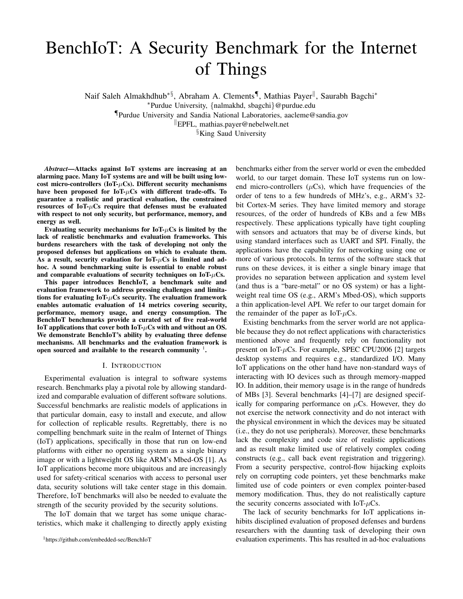# BenchIoT: A Security Benchmark for the Internet of Things

Naif Saleh Almakhdhub<sup>∗§</sup>, Abraham A. Clements¶, Mathias Payer<sup>||</sup>, Saurabh Bagchi<sup>∗</sup>

¶Purdue University and Sandia National Laboratories, aacleme@sandia.gov

<sup>k</sup>EPFL, mathias.payer@nebelwelt.net

§King Saud University

*Abstract*—Attacks against IoT systems are increasing at an alarming pace. Many IoT systems are and will be built using lowcost micro-controllers (IoT- $\mu$ Cs). Different security mechanisms have been proposed for  $IoT-\mu Cs$  with different trade-offs. To guarantee a realistic and practical evaluation, the constrained resources of  $IoT<sub>+</sub> \mu Cs$  require that defenses must be evaluated with respect to not only security, but performance, memory, and energy as well.

Evaluating security mechanisms for  $IoT-\mu Cs$  is limited by the lack of realistic benchmarks and evaluation frameworks. This burdens researchers with the task of developing not only the proposed defenses but applications on which to evaluate them. As a result, security evaluation for  $IoT<sub>+</sub>uCs$  is limited and adhoc. A sound benchmarking suite is essential to enable robust and comparable evaluations of security techniques on IoT- $\mu$ Cs.

This paper introduces BenchIoT, a benchmark suite and evaluation framework to address pressing challenges and limitations for evaluating  $IoT-\mu Cs$  security. The evaluation framework enables automatic evaluation of 14 metrics covering security, performance, memory usage, and energy consumption. The BenchIoT benchmarks provide a curated set of five real-world IoT applications that cover both IoT- $\mu$ Cs with and without an OS. We demonstrate BenchIoT's ability by evaluating three defense mechanisms. All benchmarks and the evaluation framework is open sourced and available to the research community  $^1$  $^1$ .

#### I. INTRODUCTION

Experimental evaluation is integral to software systems research. Benchmarks play a pivotal role by allowing standardized and comparable evaluation of different software solutions. Successful benchmarks are realistic models of applications in that particular domain, easy to install and execute, and allow for collection of replicable results. Regrettably, there is no compelling benchmark suite in the realm of Internet of Things (IoT) applications, specifically in those that run on low-end platforms with either no operating system as a single binary image or with a lightweight OS like ARM's Mbed-OS [\[1\]](#page-11-0). As IoT applications become more ubiquitous and are increasingly used for safety-critical scenarios with access to personal user data, security solutions will take center stage in this domain. Therefore, IoT benchmarks will also be needed to evaluate the strength of the security provided by the security solutions.

The IoT domain that we target has some unique characteristics, which make it challenging to directly apply existing benchmarks either from the server world or even the embedded world, to our target domain. These IoT systems run on lowend micro-controllers  $(\mu Cs)$ , which have frequencies of the order of tens to a few hundreds of MHz's, e.g., ARM's 32 bit Cortex-M series. They have limited memory and storage resources, of the order of hundreds of KBs and a few MBs respectively. These applications typically have tight coupling with sensors and actuators that may be of diverse kinds, but using standard interfaces such as UART and SPI. Finally, the applications have the capability for networking using one or more of various protocols. In terms of the software stack that runs on these devices, it is either a single binary image that provides no separation between application and system level (and thus is a "bare-metal" or no OS system) or has a lightweight real time OS (e.g., ARM's Mbed-OS), which supports a thin application-level API. We refer to our target domain for the remainder of the paper as IoT- $\mu$ Cs.

Existing benchmarks from the server world are not applicable because they do not reflect applications with characteristics mentioned above and frequently rely on functionality not present on IoT- $\mu$ Cs. For example, SPEC CPU2006 [\[2\]](#page-11-1) targets desktop systems and requires e.g., standardized I/O. Many IoT applications on the other hand have non-standard ways of interacting with IO devices such as through memory-mapped IO. In addition, their memory usage is in the range of hundreds of MBs [\[3\]](#page-11-2). Several benchmarks [\[4\]](#page-11-3)–[\[7\]](#page-11-4) are designed specifically for comparing performance on  $\mu$ Cs. However, they do not exercise the network connectivity and do not interact with the physical environment in which the devices may be situated (i.e., they do not use peripherals). Moreover, these benchmarks lack the complexity and code size of realistic applications and as result make limited use of relatively complex coding constructs (e.g., call back event registration and triggering). From a security perspective, control-flow hijacking exploits rely on corrupting code pointers, yet these benchmarks make limited use of code pointers or even complex pointer-based memory modification. Thus, they do not realistically capture the security concerns associated with IoT- $\mu$ Cs.

The lack of security benchmarks for IoT applications inhibits disciplined evaluation of proposed defenses and burdens researchers with the daunting task of developing their own evaluation experiments. This has resulted in ad-hoc evaluations

<sup>∗</sup>Purdue University, {nalmakhd, sbagchi}@purdue.edu

<span id="page-0-0"></span><sup>1</sup>https://github.com/embedded-sec/BenchIoT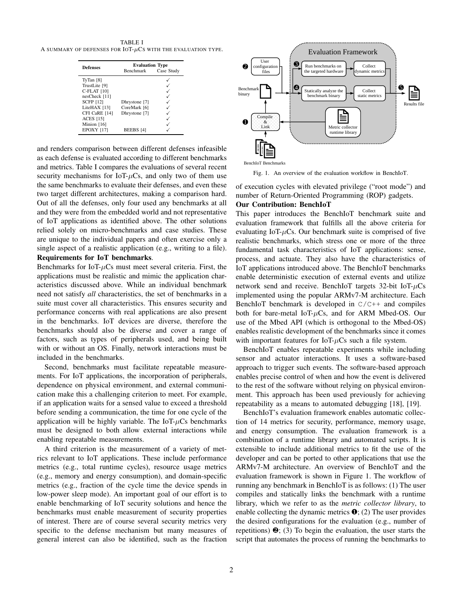<span id="page-1-0"></span>TABLE I A SUMMARY OF DEFENSES FOR  $IOT-\mu Cs$  with the evaluation type.

| <b>Defenses</b>    | <b>Evaluation Type</b><br>Benchmark<br>Case Study |  |  |  |
|--------------------|---------------------------------------------------|--|--|--|
| TyTan $[8]$        |                                                   |  |  |  |
| TrustLite [9]      |                                                   |  |  |  |
| <b>C-FLAT</b> [10] |                                                   |  |  |  |
| nesCheck [11]      |                                                   |  |  |  |
| <b>SCFP</b> [12]   | Dhrystone [7]                                     |  |  |  |
| LiteHAX [13]       | CoreMark [6]                                      |  |  |  |
| CFI CaRE [14]      | Dhrystone [7]                                     |  |  |  |
| <b>ACES</b> [15]   |                                                   |  |  |  |
| Minion [16]        |                                                   |  |  |  |
| <b>EPOXY [17]</b>  | <b>BEEBS</b> [4]                                  |  |  |  |

and renders comparison between different defenses infeasible as each defense is evaluated according to different benchmarks and metrics. [Table I](#page-1-0) compares the evaluations of several recent security mechanisms for IoT- $\mu$ Cs, and only two of them use the same benchmarks to evaluate their defenses, and even these two target different architectures, making a comparison hard. Out of all the defenses, only four used any benchmarks at all and they were from the embedded world and not representative of IoT applications as identified above. The other solutions relied solely on micro-benchmarks and case studies. These are unique to the individual papers and often exercise only a single aspect of a realistic application (e.g., writing to a file).

# Requirements for IoT benchmarks.

Benchmarks for IoT- $\mu$ Cs must meet several criteria. First, the applications must be realistic and mimic the application characteristics discussed above. While an individual benchmark need not satisfy *all* characteristics, the set of benchmarks in a suite must cover all characteristics. This ensures security and performance concerns with real applications are also present in the benchmarks. IoT devices are diverse, therefore the benchmarks should also be diverse and cover a range of factors, such as types of peripherals used, and being built with or without an OS. Finally, network interactions must be included in the benchmarks.

Second, benchmarks must facilitate repeatable measurements. For IoT applications, the incorporation of peripherals, dependence on physical environment, and external communication make this a challenging criterion to meet. For example, if an application waits for a sensed value to exceed a threshold before sending a communication, the time for one cycle of the application will be highly variable. The  $IoT<sub>+</sub>uCs$  benchmarks must be designed to both allow external interactions while enabling repeatable measurements.

A third criterion is the measurement of a variety of metrics relevant to IoT applications. These include performance metrics (e.g., total runtime cycles), resource usage metrics (e.g., memory and energy consumption), and domain-specific metrics (e.g., fraction of the cycle time the device spends in low-power sleep mode). An important goal of our effort is to enable benchmarking of IoT security solutions and hence the benchmarks must enable measurement of security properties of interest. There are of course several security metrics very specific to the defense mechanism but many measures of general interest can also be identified, such as the fraction



<span id="page-1-1"></span>Fig. 1. An overview of the evaluation workflow in BenchIoT.

of execution cycles with elevated privilege ("root mode") and number of Return-Oriented Programming (ROP) gadgets. Our Contribution: BenchIoT

This paper introduces the BenchIoT benchmark suite and evaluation framework that fulfills all the above criteria for evaluating IoT- $\mu$ Cs. Our benchmark suite is comprised of five realistic benchmarks, which stress one or more of the three fundamental task characteristics of IoT applications: sense, process, and actuate. They also have the characteristics of IoT applications introduced above. The BenchIoT benchmarks enable deterministic execution of external events and utilize network send and receive. BenchIoT targets 32-bit IoT- $\mu$ Cs implemented using the popular ARMv7-M architecture. Each BenchIoT benchmark is developed in  $C/C++$  and compiles both for bare-metal IoT- $\mu$ Cs, and for ARM Mbed-OS. Our use of the Mbed API (which is orthogonal to the Mbed-OS) enables realistic development of the benchmarks since it comes with important features for IoT- $\mu$ Cs such a file system.

BenchIoT enables repeatable experiments while including sensor and actuator interactions. It uses a software-based approach to trigger such events. The software-based approach enables precise control of when and how the event is delivered to the rest of the software without relying on physical environment. This approach has been used previously for achieving repeatability as a means to automated debugging [\[18\]](#page-11-16), [\[19\]](#page-11-17).

BenchIoT's evaluation framework enables automatic collection of 14 metrics for security, performance, memory usage, and energy consumption. The evaluation framework is a combination of a runtime library and automated scripts. It is extensible to include additional metrics to fit the use of the developer and can be ported to other applications that use the ARMv7-M architecture. An overview of BenchIoT and the evaluation framework is shown in [Figure 1.](#page-1-1) The workflow of running any benchmark in BenchIoT is as follows: (1) The user compiles and statically links the benchmark with a runtime library, which we refer to as the *metric collector library*, to enable collecting the dynamic metrics  $\mathbf{0}$ ; (2) The user provides the desired configurations for the evaluation (e.g., number of repetitions)  $\Theta$ ; (3) To begin the evaluation, the user starts the script that automates the process of running the benchmarks to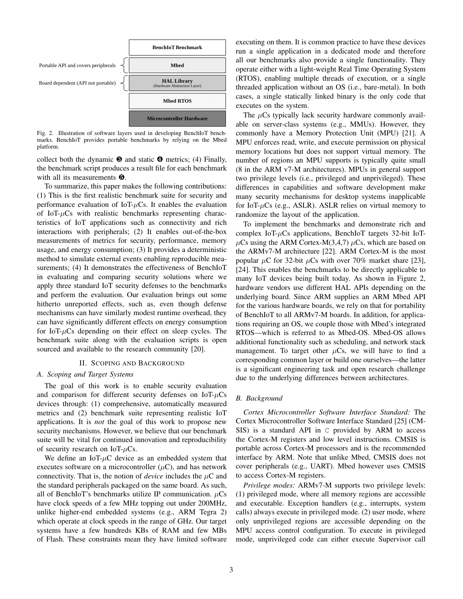

<span id="page-2-0"></span>Fig. 2. Illustration of software layers used in developing BenchIoT benchmarks. BenchIoT provides portable benchmarks by relying on the Mbed platform.

collect both the dynamic  $\Theta$  and static  $\Theta$  metrics; (4) Finally, the benchmark script produces a result file for each benchmark with all its measurements  $\Theta$ .

To summarize, this paper makes the following contributions: (1) This is the first realistic benchmark suite for security and performance evaluation of IoT- $\mu$ Cs. It enables the evaluation of IoT- $\mu$ Cs with realistic benchmarks representing characteristics of IoT applications such as connectivity and rich interactions with peripherals; (2) It enables out-of-the-box measurements of metrics for security, performance, memory usage, and energy consumption; (3) It provides a deterministic method to simulate external events enabling reproducible measurements; (4) It demonstrates the effectiveness of BenchIoT in evaluating and comparing security solutions where we apply three standard IoT security defenses to the benchmarks and perform the evaluation. Our evaluation brings out some hitherto unreported effects, such as, even though defense mechanisms can have similarly modest runtime overhead, they can have significantly different effects on energy consumption for IoT- $\mu$ Cs depending on their effect on sleep cycles. The benchmark suite along with the evaluation scripts is open sourced and available to the research community [\[20\]](#page-11-18).

## II. SCOPING AND BACKGROUND

# *A. Scoping and Target Systems*

The goal of this work is to enable security evaluation and comparison for different security defenses on  $IoT<sub>+</sub>uCs$ devices through: (1) comprehensive, automatically measured metrics and (2) benchmark suite representing realistic IoT applications. It is *not* the goal of this work to propose new security mechanisms. However, we believe that our benchmark suite will be vital for continued innovation and reproducibility of security research on IoT- $\mu$ Cs.

We define an IoT- $\mu$ C device as an embedded system that executes software on a microcontroller  $(\mu C)$ , and has network connectivity. That is, the notion of *device* includes the  $\mu$ C and the standard peripherals packaged on the same board. As such, all of BenchIoT's benchmarks utilize IP communication.  $\mu$ Cs have clock speeds of a few MHz topping out under 200MHz, unlike higher-end embedded systems (e.g., ARM Tegra 2) which operate at clock speeds in the range of GHz. Our target systems have a few hundreds KBs of RAM and few MBs of Flash. These constraints mean they have limited software executing on them. It is common practice to have these devices run a single application in a dedicated mode and therefore all our benchmarks also provide a single functionality. They operate either with a light-weight Real Time Operating System (RTOS), enabling multiple threads of execution, or a single threaded application without an OS (i.e., bare-metal). In both cases, a single statically linked binary is the only code that executes on the system.

The  $\mu$ Cs typically lack security hardware commonly available on server-class systems (e.g., MMUs). However, they commonly have a Memory Protection Unit (MPU) [\[21\]](#page-11-19). A MPU enforces read, write, and execute permission on physical memory locations but does not support virtual memory. The number of regions an MPU supports is typically quite small (8 in the ARM v7-M architectures). MPUs in general support two privilege levels (i.e., privileged and unprivileged). These differences in capabilities and software development make many security mechanisms for desktop systems inapplicable for IoT- $\mu$ Cs (e.g., ASLR). ASLR relies on virtual memory to randomize the layout of the application.

To implement the benchmarks and demonstrate rich and complex IoT- $\mu$ Cs applications, BenchIoT targets 32-bit IoT- $\mu$ Cs using the ARM Cortex-M(3,4,7)  $\mu$ Cs, which are based on the ARMv7-M architecture [\[22\]](#page-11-20). ARM Cortex-M is the most popular  $\mu$ C for 32-bit  $\mu$ Cs with over 70% market share [\[23\]](#page-11-21), [\[24\]](#page-11-22). This enables the benchmarks to be directly applicable to many IoT devices being built today. As shown in [Figure 2,](#page-2-0) hardware vendors use different HAL APIs depending on the underlying board. Since ARM supplies an ARM Mbed API for the various hardware boards, we rely on that for portability of BenchIoT to all ARMv7-M boards. In addition, for applications requiring an OS, we couple those with Mbed's integrated RTOS—which is referred to as Mbed-OS. Mbed-OS allows additional functionality such as scheduling, and network stack management. To target other  $\mu$ Cs, we will have to find a corresponding common layer or build one ourselves—the latter is a significant engineering task and open research challenge due to the underlying differences between architectures.

#### *B. Background*

*Cortex Microcontroller Software Interface Standard:* The Cortex Microcontroller Software Interface Standard [\[25\]](#page-11-23) (CM-SIS) is a standard API in C provided by ARM to access the Cortex-M registers and low level instructions. CMSIS is portable across Cortex-M processors and is the recommended interface by ARM. Note that unlike Mbed, CMSIS does not cover peripherals (e.g., UART). Mbed however uses CMSIS to access Cortex-M registers.

*Privilege modes:* ARMv7-M supports two privilege levels: (1) privileged mode, where all memory regions are accessible and executable. Exception handlers (e.g., interrupts, system calls) always execute in privileged mode. (2) user mode, where only unprivileged regions are accessible depending on the MPU access control configuration. To execute in privileged mode, unprivileged code can either execute Supervisor call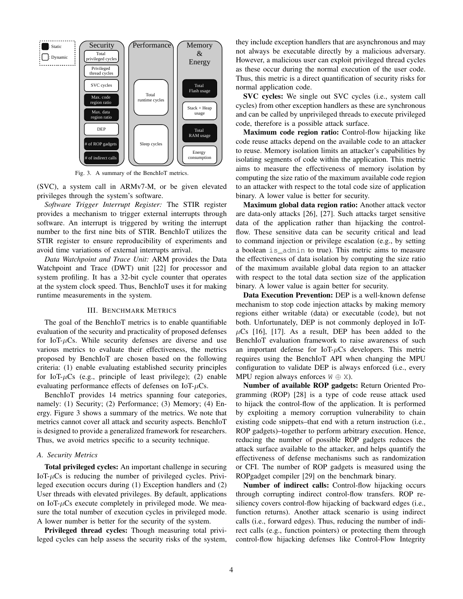

<span id="page-3-0"></span>Fig. 3. A summary of the BenchIoT metrics.

(SVC), a system call in ARMv7-M, or be given elevated privileges through the system's software.

*Software Trigger Interrupt Register:* The STIR register provides a mechanism to trigger external interrupts through software. An interrupt is triggered by writing the interrupt number to the first nine bits of STIR. BenchIoT utilizes the STIR register to ensure reproducibility of experiments and avoid time variations of external interrupts arrival.

*Data Watchpoint and Trace Unit:* ARM provides the Data Watchpoint and Trace (DWT) unit [\[22\]](#page-11-20) for processor and system profiling. It has a 32-bit cycle counter that operates at the system clock speed. Thus, BenchIoT uses it for making runtime measurements in the system.

#### III. BENCHMARK METRICS

<span id="page-3-1"></span>The goal of the BenchIoT metrics is to enable quantifiable evaluation of the security and practicality of proposed defenses for IoT- $\mu$ Cs. While security defenses are diverse and use various metrics to evaluate their effectiveness, the metrics proposed by BenchIoT are chosen based on the following criteria: (1) enable evaluating established security principles for IoT- $\mu$ Cs (e.g., principle of least privilege); (2) enable evaluating performance effects of defenses on IoT- $\mu$ Cs.

BenchIoT provides 14 metrics spanning four categories, namely: (1) Security; (2) Performance; (3) Memory; (4) Energy. [Figure 3](#page-3-0) shows a summary of the metrics. We note that metrics cannot cover all attack and security aspects. BenchIoT is designed to provide a generalized framework for researchers. Thus, we avoid metrics specific to a security technique.

#### <span id="page-3-2"></span>*A. Security Metrics*

Total privileged cycles: An important challenge in securing IoT- $\mu$ Cs is reducing the number of privileged cycles. Privileged execution occurs during (1) Exception handlers and (2) User threads with elevated privileges. By default, applications on IoT- $\mu$ Cs execute completely in privileged mode. We measure the total number of execution cycles in privileged mode. A lower number is better for the security of the system.

Privileged thread cycles: Though measuring total privileged cycles can help assess the security risks of the system, they include exception handlers that are asynchronous and may not always be executable directly by a malicious adversary. However, a malicious user can exploit privileged thread cycles as these occur during the normal execution of the user code. Thus, this metric is a direct quantification of security risks for normal application code.

SVC cycles: We single out SVC cycles (i.e., system call cycles) from other exception handlers as these are synchronous and can be called by unprivileged threads to execute privileged code, therefore is a possible attack surface.

Maximum code region ratio: Control-flow hijacking like code reuse attacks depend on the available code to an attacker to reuse. Memory isolation limits an attacker's capabilities by isolating segments of code within the application. This metric aims to measure the effectiveness of memory isolation by computing the size ratio of the maximum available code region to an attacker with respect to the total code size of application binary. A lower value is better for security.

Maximum global data region ratio: Another attack vector are data-only attacks [\[26\]](#page-11-24), [\[27\]](#page-11-25). Such attacks target sensitive data of the application rather than hijacking the controlflow. These sensitive data can be security critical and lead to command injection or privilege escalation (e.g., by setting a boolean is\_admin to true). This metric aims to measure the effectiveness of data isolation by computing the size ratio of the maximum available global data region to an attacker with respect to the total data section size of the application binary. A lower value is again better for security.

Data Execution Prevention: DEP is a well-known defense mechanism to stop code injection attacks by making memory regions either writable (data) or executable (code), but not both. Unfortunately, DEP is not commonly deployed in IoT- $\mu$ Cs [\[16\]](#page-11-14), [\[17\]](#page-11-15). As a result, DEP has been added to the BenchIoT evaluation framework to raise awareness of such an important defense for  $IoT-\mu Cs$  developers. This metric requires using the BenchIoT API when changing the MPU configuration to validate DEP is always enforced (i.e., every MPU region always enforces  $W \oplus X$ ).

Number of available ROP gadgets: Return Oriented Programming (ROP) [\[28\]](#page-11-26) is a type of code reuse attack used to hijack the control-flow of the application. It is performed by exploiting a memory corruption vulnerability to chain existing code snippets–that end with a return instruction (i.e., ROP gadgets)–together to perform arbitrary execution. Hence, reducing the number of possible ROP gadgets reduces the attack surface available to the attacker, and helps quantify the effectiveness of defense mechanisms such as randomization or CFI. The number of ROP gadgets is measured using the ROPgadget compiler [\[29\]](#page-11-27) on the benchmark binary.

Number of indirect calls: Control-flow hijacking occurs through corrupting indirect control-flow transfers. ROP resiliency covers control-flow hijacking of backward edges (i.e., function returns). Another attack scenario is using indirect calls (i.e., forward edges). Thus, reducing the number of indirect calls (e.g., function pointers) or protecting them through control-flow hijacking defenses like Control-Flow Integrity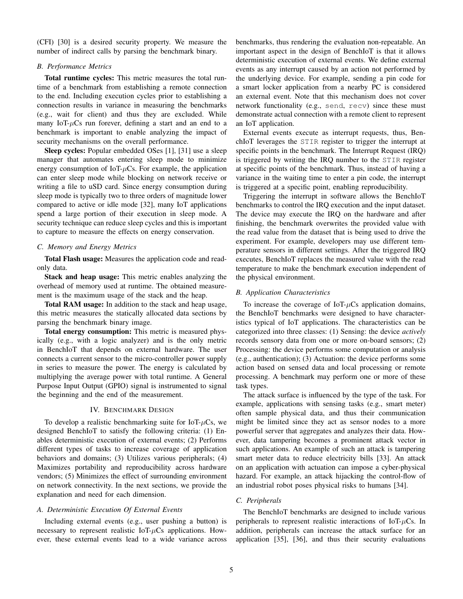(CFI) [\[30\]](#page-11-28) is a desired security property. We measure the number of indirect calls by parsing the benchmark binary.

## *B. Performance Metrics*

Total runtime cycles: This metric measures the total runtime of a benchmark from establishing a remote connection to the end. Including execution cycles prior to establishing a connection results in variance in measuring the benchmarks (e.g., wait for client) and thus they are excluded. While many IoT- $\mu$ Cs run forever, defining a start and an end to a benchmark is important to enable analyzing the impact of security mechanisms on the overall performance.

Sleep cycles: Popular embedded OSes [\[1\]](#page-11-0), [\[31\]](#page-11-29) use a sleep manager that automates entering sleep mode to minimize energy consumption of IoT- $\mu$ Cs. For example, the application can enter sleep mode while blocking on network receive or writing a file to uSD card. Since energy consumption during sleep mode is typically two to three orders of magnitude lower compared to active or idle mode [\[32\]](#page-11-30), many IoT applications spend a large portion of their execution in sleep mode. A security technique can reduce sleep cycles and this is important to capture to measure the effects on energy conservation.

#### *C. Memory and Energy Metrics*

Total Flash usage: Measures the application code and readonly data.

Stack and heap usage: This metric enables analyzing the overhead of memory used at runtime. The obtained measurement is the maximum usage of the stack and the heap.

Total RAM usage: In addition to the stack and heap usage, this metric measures the statically allocated data sections by parsing the benchmark binary image.

Total energy consumption: This metric is measured physically (e.g., with a logic analyzer) and is the only metric in BenchIoT that depends on external hardware. The user connects a current sensor to the micro-controller power supply in series to measure the power. The energy is calculated by multiplying the average power with total runtime. A General Purpose Input Output (GPIO) signal is instrumented to signal the beginning and the end of the measurement.

## IV. BENCHMARK DESIGN

To develop a realistic benchmarking suite for IoT- $\mu$ Cs, we designed BenchIoT to satisfy the following criteria: (1) Enables deterministic execution of external events; (2) Performs different types of tasks to increase coverage of application behaviors and domains; (3) Utilizes various peripherals; (4) Maximizes portability and reproducibility across hardware vendors; (5) Minimizes the effect of surrounding environment on network connectivity. In the next sections, we provide the explanation and need for each dimension.

# *A. Deterministic Execution Of External Events*

Including external events (e.g., user pushing a button) is necessary to represent realistic IoT- $\mu$ Cs applications. However, these external events lead to a wide variance across benchmarks, thus rendering the evaluation non-repeatable. An important aspect in the design of BenchIoT is that it allows deterministic execution of external events. We define external events as any interrupt caused by an action not performed by the underlying device. For example, sending a pin code for a smart locker application from a nearby PC is considered an external event. Note that this mechanism does not cover network functionality (e.g., send, recv) since these must demonstrate actual connection with a remote client to represent an IoT application.

External events execute as interrupt requests, thus, BenchIoT leverages the STIR register to trigger the interrupt at specific points in the benchmark. The Interrupt Request (IRQ) is triggered by writing the IRQ number to the STIR register at specific points of the benchmark. Thus, instead of having a variance in the waiting time to enter a pin code, the interrupt is triggered at a specific point, enabling reproducibility.

Triggering the interrupt in software allows the BenchIoT benchmarks to control the IRQ execution and the input dataset. The device may execute the IRQ on the hardware and after finishing, the benchmark overwrites the provided value with the read value from the dataset that is being used to drive the experiment. For example, developers may use different temperature sensors in different settings. After the triggered IRQ executes, BenchIoT replaces the measured value with the read temperature to make the benchmark execution independent of the physical environment.

#### *B. Application Characteristics*

To increase the coverage of IoT- $\mu$ Cs application domains, the BenchIoT benchmarks were designed to have characteristics typical of IoT applications. The characteristics can be categorized into three classes: (1) Sensing: the device *actively* records sensory data from one or more on-board sensors; (2) Processing: the device performs some computation or analysis (e.g., authentication); (3) Actuation: the device performs some action based on sensed data and local processing or remote processing. A benchmark may perform one or more of these task types.

The attack surface is influenced by the type of the task. For example, applications with sensing tasks (e.g., smart meter) often sample physical data, and thus their communication might be limited since they act as sensor nodes to a more powerful server that aggregates and analyzes their data. However, data tampering becomes a prominent attack vector in such applications. An example of such an attack is tampering smart meter data to reduce electricity bills [\[33\]](#page-11-31). An attack on an application with actuation can impose a cyber-physical hazard. For example, an attack hijacking the control-flow of an industrial robot poses physical risks to humans [\[34\]](#page-11-32).

# <span id="page-4-0"></span>*C. Peripherals*

The BenchIoT benchmarks are designed to include various peripherals to represent realistic interactions of IoT- $\mu$ Cs. In addition, peripherals can increase the attack surface for an application [\[35\]](#page-11-33), [\[36\]](#page-11-34), and thus their security evaluations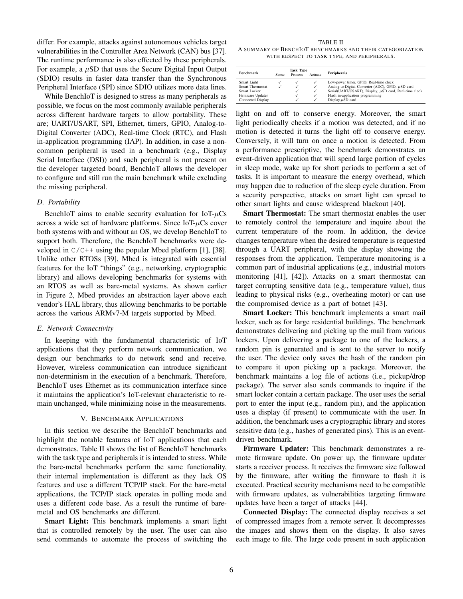differ. For example, attacks against autonomous vehicles target vulnerabilities in the Controller Area Network (CAN) bus [\[37\]](#page-11-35). The runtime performance is also effected by these peripherals. For example, a  $\mu$ SD that uses the Secure Digital Input Output (SDIO) results in faster data transfer than the Synchronous Peripheral Interface (SPI) since SDIO utilizes more data lines.

While BenchIoT is designed to stress as many peripherals as possible, we focus on the most commonly available peripherals across different hardware targets to allow portability. These are; UART/USART, SPI, Ethernet, timers, GPIO, Analog-to-Digital Converter (ADC), Real-time Clock (RTC), and Flash in-application programming (IAP). In addition, in case a noncommon peripheral is used in a benchmark (e.g., Display Serial Interface (DSI)) and such peripheral is not present on the developer targeted board, BenchIoT allows the developer to configure and still run the main benchmark while excluding the missing peripheral.

# <span id="page-5-2"></span>*D. Portability*

BenchIoT aims to enable security evaluation for  $IoT<sub>+</sub>uCs$ across a wide set of hardware platforms. Since  $IoT-\mu Cs$  cover both systems with and without an OS, we develop BenchIoT to support both. Therefore, the BenchIoT benchmarks were developed in  $C/C++$  using the popular Mbed platform [\[1\]](#page-11-0), [\[38\]](#page-11-36). Unlike other RTOSs [\[39\]](#page-11-37), Mbed is integrated with essential features for the IoT "things" (e.g., networking, cryptographic library) and allows developing benchmarks for systems with an RTOS as well as bare-metal systems. As shown earlier in [Figure 2,](#page-2-0) Mbed provides an abstraction layer above each vendor's HAL library, thus allowing benchmarks to be portable across the various ARMv7-M targets supported by Mbed.

#### *E. Network Connectivity*

In keeping with the fundamental characteristic of IoT applications that they perform network communication, we design our benchmarks to do network send and receive. However, wireless communication can introduce significant non-determinism in the execution of a benchmark. Therefore, BenchIoT uses Ethernet as its communication interface since it maintains the application's IoT-relevant characteristic to remain unchanged, while minimizing noise in the measurements.

#### V. BENCHMARK APPLICATIONS

<span id="page-5-1"></span>In this section we describe the BenchIoT benchmarks and highlight the notable features of IoT applications that each demonstrates. [Table II](#page-5-0) shows the list of BenchIoT benchmarks with the task type and peripherals it is intended to stress. While the bare-metal benchmarks perform the same functionality, their internal implementation is different as they lack OS features and use a different TCP/IP stack. For the bare-metal applications, the TCP/IP stack operates in polling mode and uses a different code base. As a result the runtime of baremetal and OS benchmarks are different.

Smart Light: This benchmark implements a smart light that is controlled remotely by the user. The user can also send commands to automate the process of switching the

<span id="page-5-0"></span>TABLE II A SUMMARY OF BENCHIOT BENCHMARKS AND THEIR CATEGORIZATION WITH RESPECT TO TASK TYPE, AND PERIPHERALS.

|                   | <b>Task Type</b> |         |         |                                                             |  |  |
|-------------------|------------------|---------|---------|-------------------------------------------------------------|--|--|
| <b>Benchmark</b>  | <b>Sense</b>     | Process | Actuate | <b>Peripherals</b>                                          |  |  |
| Smart Light       |                  |         | √       | Low-power timer, GPIO, Real-time clock                      |  |  |
| Smart Thermostat  |                  | √       | ✓       | Analog-to-Digital Converter (ADC), GPIO, $\mu SD$ card      |  |  |
| Smart Locker      |                  |         | ✓       | Serial(UART/USART), Display, $\mu$ SD card, Real-time clock |  |  |
| Firmware Updater  |                  |         | √       | Flash in-application programming                            |  |  |
| Connected Display |                  |         |         | Display, $\mu$ SD card                                      |  |  |

light on and off to conserve energy. Moreover, the smart light periodically checks if a motion was detected, and if no motion is detected it turns the light off to conserve energy. Conversely, it will turn on once a motion is detected. From a performance prescriptive, the benchmark demonstrates an event-driven application that will spend large portion of cycles in sleep mode, wake up for short periods to perform a set of tasks. It is important to measure the energy overhead, which may happen due to reduction of the sleep cycle duration. From a security perspective, attacks on smart light can spread to other smart lights and cause widespread blackout [\[40\]](#page-11-38).

Smart Thermostat: The smart thermostat enables the user to remotely control the temperature and inquire about the current temperature of the room. In addition, the device changes temperature when the desired temperature is requested through a UART peripheral, with the display showing the responses from the application. Temperature monitoring is a common part of industrial applications (e.g., industrial motors monitoring [\[41\]](#page-11-39), [\[42\]](#page-11-40)). Attacks on a smart thermostat can target corrupting sensitive data (e.g., temperature value), thus leading to physical risks (e.g., overheating motor) or can use the compromised device as a part of botnet [\[43\]](#page-11-41).

**Smart Locker:** This benchmark implements a smart mail locker, such as for large residential buildings. The benchmark demonstrates delivering and picking up the mail from various lockers. Upon delivering a package to one of the lockers, a random pin is generated and is sent to the server to notify the user. The device only saves the hash of the random pin to compare it upon picking up a package. Moreover, the benchmark maintains a log file of actions (i.e., pickup/drop package). The server also sends commands to inquire if the smart locker contain a certain package. The user uses the serial port to enter the input (e.g., random pin), and the application uses a display (if present) to communicate with the user. In addition, the benchmark uses a cryptographic library and stores sensitive data (e.g., hashes of generated pins). This is an eventdriven benchmark.

Firmware Updater: This benchmark demonstrates a remote firmware update. On power up, the firmware updater starts a receiver process. It receives the firmware size followed by the firmware, after writing the firmware to flash it is executed. Practical security mechanisms need to be compatible with firmware updates, as vulnerabilities targeting firmware updates have been a target of attacks [\[44\]](#page-11-42).

Connected Display: The connected display receives a set of compressed images from a remote server. It decompresses the images and shows them on the display. It also saves each image to file. The large code present in such application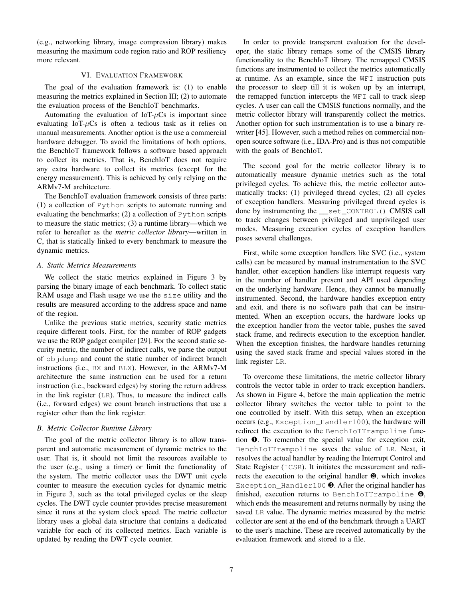(e.g., networking library, image compression library) makes measuring the maximum code region ratio and ROP resiliency more relevant.

### VI. EVALUATION FRAMEWORK

The goal of the evaluation framework is: (1) to enable measuring the metrics explained in [Section III;](#page-3-1) (2) to automate the evaluation process of the BenchIoT benchmarks.

Automating the evaluation of IoT- $\mu$ Cs is important since evaluating IoT- $\mu$ Cs is often a tedious task as it relies on manual measurements. Another option is the use a commercial hardware debugger. To avoid the limitations of both options, the BenchIoT framework follows a software based approach to collect its metrics. That is, BenchIoT does not require any extra hardware to collect its metrics (except for the energy measurement). This is achieved by only relying on the ARMv7-M architecture.

The BenchIoT evaluation framework consists of three parts: (1) a collection of Python scripts to automate running and evaluating the benchmarks; (2) a collection of Python scripts to measure the static metrics; (3) a runtime library—which we refer to hereafter as the *metric collector library*—written in C, that is statically linked to every benchmark to measure the dynamic metrics.

#### *A. Static Metrics Measurements*

We collect the static metrics explained in [Figure 3](#page-3-0) by parsing the binary image of each benchmark. To collect static RAM usage and Flash usage we use the size utility and the results are measured according to the address space and name of the region.

Unlike the previous static metrics, security static metrics require different tools. First, for the number of ROP gadgets we use the ROP gadget compiler [\[29\]](#page-11-27). For the second static security metric, the number of indirect calls, we parse the output of objdump and count the static number of indirect branch instructions (i.e., BX and BLX). However, in the ARMv7-M architecture the same instruction can be used for a return instruction (i.e., backward edges) by storing the return address in the link register (LR). Thus, to measure the indirect calls (i.e., forward edges) we count branch instructions that use a register other than the link register.

# *B. Metric Collector Runtime Library*

The goal of the metric collector library is to allow transparent and automatic measurement of dynamic metrics to the user. That is, it should not limit the resources available to the user (e.g., using a timer) or limit the functionality of the system. The metric collector uses the DWT unit cycle counter to measure the execution cycles for dynamic metric in [Figure 3,](#page-3-0) such as the total privileged cycles or the sleep cycles. The DWT cycle counter provides precise measurement since it runs at the system clock speed. The metric collector library uses a global data structure that contains a dedicated variable for each of its collected metrics. Each variable is updated by reading the DWT cycle counter.

In order to provide transparent evaluation for the developer, the static library remaps some of the CMSIS library functionality to the BenchIoT library. The remapped CMSIS functions are instrumented to collect the metrics automatically at runtime. As an example, since the WFI instruction puts the processor to sleep till it is woken up by an interrupt, the remapped function intercepts the WFI call to track sleep cycles. A user can call the CMSIS functions normally, and the metric collector library will transparently collect the metrics. Another option for such instrumentation is to use a binary rewriter [\[45\]](#page-11-43). However, such a method relies on commercial nonopen source software (i.e., IDA-Pro) and is thus not compatible with the goals of BenchIoT.

The second goal for the metric collector library is to automatically measure dynamic metrics such as the total privileged cycles. To achieve this, the metric collector automatically tracks: (1) privileged thread cycles; (2) all cycles of exception handlers. Measuring privileged thread cycles is done by instrumenting the \_\_set\_CONTROL() CMSIS call to track changes between privileged and unprivileged user modes. Measuring execution cycles of exception handlers poses several challenges.

First, while some exception handlers like SVC (i.e., system calls) can be measured by manual instrumentation to the SVC handler, other exception handlers like interrupt requests vary in the number of handler present and API used depending on the underlying hardware. Hence, they cannot be manually instrumented. Second, the hardware handles exception entry and exit, and there is no software path that can be instrumented. When an exception occurs, the hardware looks up the exception handler from the vector table, pushes the saved stack frame, and redirects execution to the exception handler. When the exception finishes, the hardware handles returning using the saved stack frame and special values stored in the link register LR.

To overcome these limitations, the metric collector library controls the vector table in order to track exception handlers. As shown in [Figure 4,](#page-7-0) before the main application the metric collector library switches the vector table to point to the one controlled by itself. With this setup, when an exception occurs (e.g., Exception\_Handler100), the hardware will redirect the execution to the BenchIoTTrampoline function ❶. To remember the special value for exception exit, BenchIoTTrampoline saves the value of LR. Next, it resolves the actual handler by reading the Interrupt Control and State Register (ICSR). It initiates the measurement and redirects the execution to the original handler ❷, which invokes Exception\_Handler100 <sup>.</sup> After the original handler has finished, execution returns to BenchIoTTrampoline ❹, which ends the measurement and returns normally by using the saved LR value. The dynamic metrics measured by the metric collector are sent at the end of the benchmark through a UART to the user's machine. These are received automatically by the evaluation framework and stored to a file.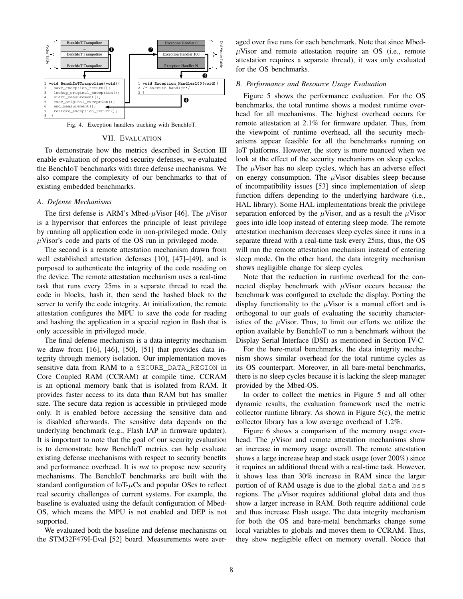

Fig. 4. Exception handlers tracking with BenchIoT.

## <span id="page-7-0"></span>VII. EVALUATION

To demonstrate how the metrics described in [Section III](#page-3-1) enable evaluation of proposed security defenses, we evaluated the BenchIoT benchmarks with three defense mechanisms. We also compare the complexity of our benchmarks to that of existing embedded benchmarks.

#### *A. Defense Mechanisms*

The first defense is ARM's Mbed- $\mu$ Visor [\[46\]](#page-11-44). The  $\mu$ Visor is a hypervisor that enforces the principle of least privilege by running all application code in non-privileged mode. Only  $\mu$ Visor's code and parts of the OS run in privileged mode.

The second is a remote attestation mechanism drawn from well established attestation defenses [\[10\]](#page-11-7), [\[47\]](#page-11-45)–[\[49\]](#page-11-46), and is purposed to authenticate the integrity of the code residing on the device. The remote attestation mechanism uses a real-time task that runs every 25ms in a separate thread to read the code in blocks, hash it, then send the hashed block to the server to verify the code integrity. At initialization, the remote attestation configures the MPU to save the code for reading and hashing the application in a special region in flash that is only accessible in privileged mode.

The final defense mechanism is a data integrity mechanism we draw from [\[16\]](#page-11-14), [\[46\]](#page-11-44), [\[50\]](#page-12-0), [\[51\]](#page-12-1) that provides data integrity through memory isolation. Our implementation moves sensitive data from RAM to a SECURE DATA REGION in Core Coupled RAM (CCRAM) at compile time. CCRAM is an optional memory bank that is isolated from RAM. It provides faster access to its data than RAM but has smaller size. The secure data region is accessible in privileged mode only. It is enabled before accessing the sensitive data and is disabled afterwards. The sensitive data depends on the underlying benchmark (e.g., Flash IAP in firmware updater). It is important to note that the goal of our security evaluation is to demonstrate how BenchIoT metrics can help evaluate existing defense mechanisms with respect to security benefits and performance overhead. It is *not* to propose new security mechanisms. The BenchIoT benchmarks are built with the standard configuration of  $IoT<sub>+</sub>uCs$  and popular OSes to reflect real security challenges of current systems. For example, the baseline is evaluated using the default configuration of Mbed-OS, which means the MPU is not enabled and DEP is not supported.

We evaluated both the baseline and defense mechanisms on the STM32F479I-Eval [\[52\]](#page-12-2) board. Measurements were aver-

aged over five runs for each benchmark. Note that since Mbed- $\mu$ Visor and remote attestation require an OS (i.e., remote attestation requires a separate thread), it was only evaluated for the OS benchmarks.

# *B. Performance and Resource Usage Evaluation*

[Figure 5](#page-8-0) shows the performance evaluation. For the OS benchmarks, the total runtime shows a modest runtime overhead for all mechanisms. The highest overhead occurs for remote attestation at 2.1% for firmware updater. Thus, from the viewpoint of runtime overhead, all the security mechanisms appear feasible for all the benchmarks running on IoT platforms. However, the story is more nuanced when we look at the effect of the security mechanisms on sleep cycles. The  $\mu$ Visor has no sleep cycles, which has an adverse effect on energy consumption. The  $\mu$ Visor disables sleep because of incompatibility issues [\[53\]](#page-12-3) since implementation of sleep function differs depending to the underlying hardware (i.e., HAL library). Some HAL implementations break the privilege separation enforced by the  $\mu$ Visor, and as a result the  $\mu$ Visor goes into idle loop instead of entering sleep mode. The remote attestation mechanism decreases sleep cycles since it runs in a separate thread with a real-time task every 25ms, thus, the OS will run the remote attestation mechanism instead of entering sleep mode. On the other hand, the data integrity mechanism shows negligible change for sleep cycles.

Note that the reduction in runtime overhead for the connected display benchmark with  $\mu$ Visor occurs because the benchmark was configured to exclude the display. Porting the display functionality to the  $\mu$ Visor is a manual effort and is orthogonal to our goals of evaluating the security characteristics of the  $\mu$ Visor. Thus, to limit our efforts we utilize the option available by BenchIoT to run a benchmark without the Display Serial Interface (DSI) as mentioned in [Section IV-C.](#page-4-0)

For the bare-metal benchmarks, the data integrity mechanism shows similar overhead for the total runtime cycles as its OS counterpart. Moreover, in all bare-metal benchmarks, there is no sleep cycles because it is lacking the sleep manager provided by the Mbed-OS.

In order to collect the metrics in [Figure 5](#page-8-0) and all other dynamic results, the evaluation framework used the metric collector runtime library. As shown in [Figure 5\(](#page-8-0)c), the metric collector library has a low average overhead of 1.2%.

[Figure 6](#page-8-1) shows a comparison of the memory usage overhead. The  $\mu$ Visor and remote attestation mechanisms show an increase in memory usage overall. The remote attestation shows a large increase heap and stack usage (over 200%) since it requires an additional thread with a real-time task. However, it shows less than 30% increase in RAM since the larger portion of of RAM usage is due to the global data and bss regions. The  $\mu$ Visor requires additional global data and thus show a larger increase in RAM. Both require additional code and thus increase Flash usage. The data integrity mechanism for both the OS and bare-metal benchmarks change some local variables to globals and moves them to CCRAM. Thus, they show negligible effect on memory overall. Notice that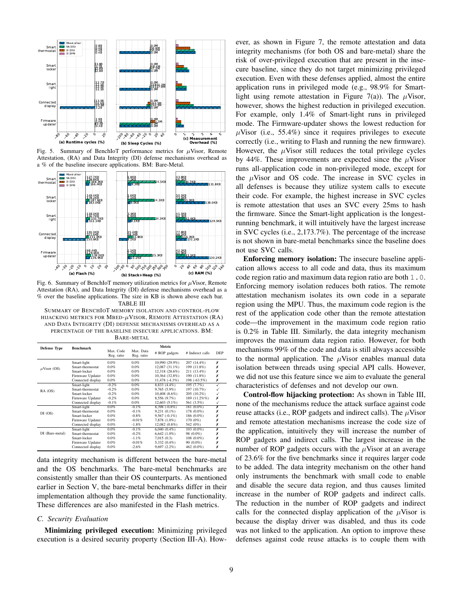

<span id="page-8-0"></span>Fig. 5. Summary of BenchIoT performance metrics for  $\mu$ Visor, Remote Attestation, (RA) and Data Integrity (DI) defense mechanisms overhead as a % of the baseline insecure applications. BM: Bare-Metal.



<span id="page-8-1"></span>Fig. 6. Summary of BenchIoT memory utilization metrics for  $\mu$ Visor, Remote Attestation (RA), and Data Integrity (DI) defense mechanisms overhead as a % over the baseline applications. The size in KB is shown above each bar. TABLE III

<span id="page-8-2"></span>SUMMARY OF BENCHIOT MEMORY ISOLATION AND CONTROL-FLOW HIJACKING METRICS FOR MBED- $\mu$ VISOR, REMOTE ATTESTATION (RA) AND DATA INTEGRITY (DI) DEFENSE MECHANISMS OVERHEAD AS A PERCENTAGE OF THE BASELINE INSECURE APPLICATIONS. BM: BARE-METAL

| <b>Defense Type</b> | <b>Benchmark</b>  | Metric                  |                         |                    |                  |                         |  |
|---------------------|-------------------|-------------------------|-------------------------|--------------------|------------------|-------------------------|--|
|                     |                   | Max. Code<br>Reg. ratio | Max. Data<br>Reg. ratio | # ROP gadgets      | # Indirect calls | DEP                     |  |
|                     | Smart-light       | $0.0\%$                 | $0.0\%$                 | 10,990 (29.9%)     | 207 (14.4%)      | х                       |  |
| $\mu$ Visor (OS)    | Smart-thermostat  | 0.0%                    | $0.0\%$                 | $12.087(31.1\%)$   | 199 (11.8%)      | Х                       |  |
|                     | Smart-locker      | 0.0%                    | $0.0\%$                 | $12.318(28.6\%)$   | 211 (13.4%)      | Х                       |  |
|                     | Firmware Updater  | 0.0%                    | $0.0\%$                 | $10.364(32.8\%)$   | 190 (11.8%)      | Х                       |  |
|                     | Connected display | $0.0\%$                 | $0.0\%$                 | $11,478$ (-4.3%)   | 198 $(-63.5%)$   | Х                       |  |
| $RA$ (OS)           | Smart-light       | $-0.2%$                 | $0.0\%$                 | 8,833 (4,4%)       | 195 $(7.7\%)$    | $\checkmark$            |  |
|                     | Smart-thermostat  | $-0.2%$                 | $0.0\%$                 | $9.765(5.9\%)$     | 197 (10.7%)      |                         |  |
|                     | Smart-locker      | $-0.2%$                 | $0.0\%$                 | $10,408$ $(8,6\%)$ | 205 (10.2%)      | √                       |  |
|                     | Firmware Updater  | $-0.2%$                 | $0.0\%$                 | 8,556 (9.7%)       | 189 (11.2%%)     | Х                       |  |
|                     | Connected display | $-0.1%$                 | $0.0\%$                 | $12,603(5,1\%)$    | 561 (3.5%)       | ✓                       |  |
| DI(OS)              | Smart-light       | $0.0\%$                 | $-0.1%$                 | $8,398$ $(-0.8\%)$ | 181 (0.0%)       | x                       |  |
|                     | Smart-thermostat  | $0.0\%$                 | $-0.1%$                 | $9.231(0.1\%)$     | 178 (0.0%)       | х                       |  |
|                     | Smart-locker      | $0.0\%$                 | $-0.8%$                 | $9,567(-0.1\%)$    | 186 (0.0%)       | Х                       |  |
|                     | Firmware Updater  | 0.0%                    | $-0.01%$                | 7.878 (1.0%)       | 170 (0%)         | Х                       |  |
|                     | Connected display | 0.0%                    | $-1.8%$                 | $12,082(0.8\%)$    | 542 (0%)         | Х                       |  |
| DI (Bare-metal)     | Smart-light       | 0.0%                    | $-0.1%$                 | $6,040(0.4\%)$     | $103(0.0\%)$     | $\overline{\mathsf{x}}$ |  |
|                     | Smart-thermostat  | $0.0\%$                 | $-0.2%$                 | $6,642$ $(1.0\%)$  | 98 (0.0%)        | х                       |  |
|                     | Smart-locker      | $0.0\%$                 | $-1.1\%$                | 7.015(0.3)         | $108(0.0\%)$     | Х                       |  |
|                     | Firmware Updater  | 0.0%                    | $-0.01%$                | $5,332(0.4\%)$     | 90 (0.0%)        | Х                       |  |
|                     | Connected display | 0.0%                    | $-2.6%$                 | 9,697(2.2%)        | 462 (0.0%)       | х                       |  |
|                     |                   |                         |                         |                    |                  |                         |  |

data integrity mechanism is different between the bare-metal and the OS benchmarks. The bare-metal benchmarks are consistently smaller than their OS counterparts. As mentioned earlier in [Section V,](#page-5-1) the bare-metal benchmarks differ in their implementation although they provide the same functionality. These differences are also manifested in the Flash metrics.

#### *C. Security Evaluation*

Minimizing privileged execution: Minimizing privileged execution is a desired security property [\(Section III-A\)](#page-3-2). However, as shown in [Figure 7,](#page-9-0) the remote attestation and data integrity mechanisms (for both OS and bare-metal) share the risk of over-privileged execution that are present in the insecure baseline, since they do not target minimizing privileged execution. Even with these defenses applied, almost the entire application runs in privileged mode (e.g., 98.9% for Smart-light using remote attestation in [Figure 7\(](#page-9-0)a)). The  $\mu$ Visor, however, shows the highest reduction in privileged execution. For example, only 1.4% of Smart-light runs in privileged mode. The Firmware-updater shows the lowest reduction for  $\mu$ Visor (i.e., 55.4%) since it requires privileges to execute correctly (i.e., writing to Flash and running the new firmware). However, the  $\mu$ Visor still reduces the total privilege cycles by 44%. These improvements are expected since the  $\mu$ Visor runs all-application code in non-privileged mode, except for the  $\mu$ Visor and OS code. The increase in SVC cycles in all defenses is because they utilize system calls to execute their code. For example, the highest increase in SVC cycles is remote attestation that uses an SVC every 25ms to hash the firmware. Since the Smart-light application is the longestrunning benchmark, it will intuitively have the largest increase in SVC cycles (i.e., 2,173.7%). The percentage of the increase is not shown in bare-metal benchmarks since the baseline does not use SVC calls.

Enforcing memory isolation: The insecure baseline application allows access to all code and data, thus its maximum code region ratio and maximum data region ratio are both 1.0. Enforcing memory isolation reduces both ratios. The remote attestation mechanism isolates its own code in a separate region using the MPU. Thus, the maximum code region is the rest of the application code other than the remote attestation code—the improvement in the maximum code region ratio is 0.2% in [Table III.](#page-8-2) Similarly, the data integrity mechanism improves the maximum data region ratio. However, for both mechanisms 99% of the code and data is still always accessible to the normal application. The  $\mu$ Visor enables manual data isolation between threads using special API calls. However, we did not use this feature since we aim to evaluate the general characteristics of defenses and not develop our own.

Control-flow hijacking protection: As shown in [Table III,](#page-8-2) none of the mechanisms reduce the attack surface against code reuse attacks (i.e., ROP gadgets and indirect calls). The  $\mu$ Visor and remote attestation mechanisms increase the code size of the application, intuitively they will increase the number of ROP gadgets and indirect calls. The largest increase in the number of ROP gadgets occurs with the  $\mu$ Visor at an average of 23.6% for the five benchmarks since it requires larger code to be added. The data integrity mechanism on the other hand only instruments the benchmark with small code to enable and disable the secure data region, and thus causes limited increase in the number of ROP gadgets and indirect calls. The reduction in the number of ROP gadgets and indirect calls for the connected display application of the  $\mu$ Visor is because the display driver was disabled, and thus its code was not linked to the application. An option to improve these defenses against code reuse attacks is to couple them with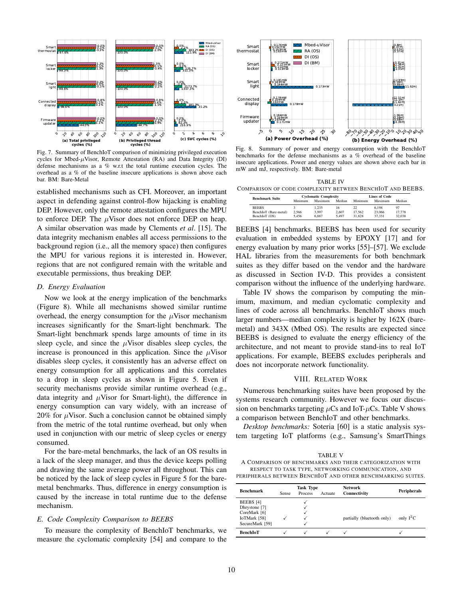

<span id="page-9-0"></span>Fig. 7. Summary of BenchIoT comparison of minimizing privileged execution cycles for Mbed- $\mu$ Visor, Remote Attestation (RA) and Data Integrity (DI) defense mechanisms as a % w.r.t the total runtime execution cycles. The overhead as a % of the baseline insecure applications is shown above each bar. BM: Bare-Metal

established mechanisms such as CFI. Moreover, an important aspect in defending against control-flow hijacking is enabling DEP. However, only the remote attestation configures the MPU to enforce DEP. The  $\mu$ Visor does not enforce DEP on heap. A similar observation was made by Clements *et al*. [\[15\]](#page-11-13). The data integrity mechanism enables all access permissions to the background region (i.e., all the memory space) then configures the MPU for various regions it is interested in. However, regions that are not configured remain with the writable and executable permissions, thus breaking DEP.

#### *D. Energy Evaluation*

Now we look at the energy implication of the benchmarks [\(Figure 8\)](#page-9-1). While all mechanisms showed similar runtime overhead, the energy consumption for the  $\mu$ Visor mechanism increases significantly for the Smart-light benchmark. The Smart-light benchmark spends large amounts of time in its sleep cycle, and since the  $\mu$ Visor disables sleep cycles, the increase is pronounced in this application. Since the  $\mu$ Visor disables sleep cycles, it consistently has an adverse effect on energy consumption for all applications and this correlates to a drop in sleep cycles as shown in [Figure 5.](#page-8-0) Even if security mechanisms provide similar runtime overhead (e.g., data integrity and  $\mu$ Visor for Smart-light), the difference in energy consumption can vary widely, with an increase of 20% for  $\mu$ Visor. Such a conclusion cannot be obtained simply from the metric of the total runtime overhead, but only when used in conjunction with our metric of sleep cycles or energy consumed.  $\frac{1}{2}$  by  $\frac{1}{2}$  a detail and comparison of the cyclomatic computer of the cyclomatic computer of Benefit Fig. Summary properties the complete of the complete of the comparison of Benefit System in the System of Ben

For the bare-metal benchmarks, the lack of an OS results in a lack of the sleep manager, and thus the device keeps polling and drawing the same average power all throughout. This can be noticed by the lack of sleep cycles in [Figure 5](#page-8-0) for the baremetal benchmarks. Thus, difference in energy consumption is caused by the increase in total runtime due to the defense mechanism.

# *E. Code Complexity Comparison to BEEBS*

To measure the complexity of BenchIoT benchmarks, we



<span id="page-9-1"></span>Fig. 8. Summary of power and energy consumption with the BenchIoT benchmarks for the defense mechanisms as a % overhead of the baseline insecure applications. Power and energy values are shown above each bar in mW and mJ, respectively. BM: Bare-metal

<span id="page-9-2"></span>TABLE IV COMPARISON OF CODE COMPLEXITY BETWEEN BENCHIOT AND BEEBS.

| <b>Benchmark Suite</b> | <b>Cyclomatic Complexity</b> |         |        | <b>Lines of Code</b> |         |        |
|------------------------|------------------------------|---------|--------|----------------------|---------|--------|
|                        | Minimum                      | Maximum | Median | Minimum              | Maximum | Median |
| <b>BEEBS</b>           |                              | 1.235   | 16     | 22.                  | 6.198   | 97     |
| BenchIoT (Bare-metal)  | 2.566                        | 3.997   | 2.607  | 17.562               | 23,066  | 17.778 |
| BenchIoT (OS)          | 5.456                        | 6.887   | 5.497  | 31.828               | 37.331  | 32.038 |

BEEBS [\[4\]](#page-11-3) benchmarks. BEEBS has been used for security evaluation in embedded systems by EPOXY [\[17\]](#page-11-15) and for energy evaluation by many prior works [\[55\]](#page-12-5)–[\[57\]](#page-12-6). We exclude HAL libraries from the measurements for both benchmark suites as they differ based on the vendor and the hardware as discussed in [Section IV-D.](#page-5-2) This provides a consistent comparison without the influence of the underlying hardware.

[Table IV](#page-9-2) shows the comparison by computing the minimum, maximum, and median cyclomatic complexity and lines of code across all benchmarks. BenchIoT shows much larger numbers—median complexity is higher by 162X (baremetal) and 343X (Mbed OS). The results are expected since BEEBS is designed to evaluate the energy efficiency of the architecture, and not meant to provide stand-ins to real IoT applications. For example, BEEBS excludes peripherals and does not incorporate network functionality.

#### VIII. RELATED WORK

Numerous benchmarking suites have been proposed by the systems research community. However we focus our discussion on benchmarks targeting  $\mu$ Cs and IoT- $\mu$ Cs. [Table V](#page-9-3) shows a comparison between BenchIoT and other benchmarks.

*Desktop benchmarks:* Soteria [\[60\]](#page-12-7) is a static analysis system targeting IoT platforms (e.g., Samsung's SmartThings

<span id="page-9-3"></span>

| <b>Benchmark</b>                           | Sense | <b>Task Type</b><br>Process | Actuate | <b>Network</b><br>Connectivity | Peripherals |
|--------------------------------------------|-------|-----------------------------|---------|--------------------------------|-------------|
| BEEBS [4]<br>Dhrystone [7]<br>CoreMark [6] |       |                             |         |                                | only $I^2C$ |
| IoTMark [58]<br>SecureMark [59]            |       |                             |         | partially (bluetooth only)     |             |
| <b>BenchIoT</b>                            |       |                             |         |                                |             |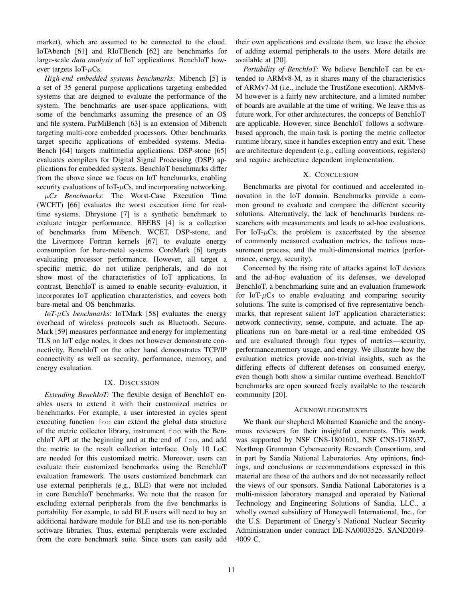market), which are assumed to be connected to the cloud. IoTAbench [\[61\]](#page-12-10) and RIoTBench [\[62\]](#page-12-11) are benchmarks for large-scale *data analysis* of IoT applications. BenchIoT however targets IoT- $\mu$ Cs.

*High-end embedded systems benchmarks:* Mibench [\[5\]](#page-11-47) is a set of 35 general purpose applications targeting embedded systems that are deigned to evaluate the performance of the system. The benchmarks are user-space applications, with some of the benchmarks assuming the presence of an OS and file system. ParMiBench [\[63\]](#page-12-12) is an extension of Mibench targeting multi-core embedded processors. Other benchmarks target specific applications of embedded systems. Media-Bench [\[64\]](#page-12-13) targets multimedia applications. DSP-stone [\[65\]](#page-12-14) evaluates compilers for Digital Signal Processing (DSP) applications for embedded systems. BenchIoT benchmarks differ from the above since we focus on IoT benchmarks, enabling security evaluations of IoT- $\mu$ Cs, and incorporating networking.

µ*Cs Benchmarks*: The Worst-Case Execution Time (WCET) [\[66\]](#page-12-15) evaluates the worst execution time for realtime systems. Dhrystone [\[7\]](#page-11-4) is a synthetic benchmark to evaluate integer performance. BEEBS [\[4\]](#page-11-3) is a collection of benchmarks from Mibench, WCET, DSP-stone, and the Livermore Fortran kernels [\[67\]](#page-12-16) to evaluate energy consumption for bare-metal systems. CoreMark [\[6\]](#page-11-11) targets evaluating processor performance. However, all target a specific metric, do not utilize peripherals, and do not show most of the characteristics of IoT applications. In contrast, BenchIoT is aimed to enable security evaluation, it incorporates IoT application characteristics, and covers both bare-metal and OS benchmarks.

*IoT-*µ*Cs benchmarks*: IoTMark [\[58\]](#page-12-8) evaluates the energy overhead of wireless protocols such as Bluetooth. Secure-Mark [\[59\]](#page-12-9) measures performance and energy for implementing TLS on IoT edge nodes, it does not however demonstrate connectivity. BenchIoT on the other hand demonstrates TCP/IP connectivity as well as security, performance, memory, and energy evaluation.

#### IX. DISCUSSION

*Extending BenchIoT:* The flexible design of BenchIoT enables users to extend it with their customized metrics or benchmarks. For example, a user interested in cycles spent executing function foo can extend the global data structure of the metric collector library, instrument foo with the BenchIoT API at the beginning and at the end of foo, and add the metric to the result collection interface. Only 10 LoC are needed for this customized metric. Moreover, users can evaluate their customized benchmarks using the BenchIoT evaluation framework. The users customized benchmark can use external peripherals (e.g., BLE) that were not included in core BenchIoT benchmarks. We note that the reason for excluding external peripherals from the five benchmarks is portability. For example, to add BLE users will need to buy an additional hardware module for BLE and use its non-portable software libraries. Thus, external peripherals were excluded from the core benchmark suite. Since users can easily add their own applications and evaluate them, we leave the choice of adding external peripherals to the users. More details are available at [\[20\]](#page-11-18).

*Portability of BenchIoT:* We believe BenchIoT can be extended to ARMv8-M, as it shares many of the characteristics of ARMv7-M (i.e., include the TrustZone execution). ARMv8- M however is a fairly new architecture, and a limited number of boards are available at the time of writing. We leave this as future work. For other architectures, the concepts of BenchIoT are applicable. However, since BenchIoT follows a softwarebased approach, the main task is porting the metric collector runtime library, since it handles exception entry and exit. These are architecture dependent (e.g., calling conventions, registers) and require architecture dependent implementation.

# X. CONCLUSION

Benchmarks are pivotal for continued and accelerated innovation in the IoT domain. Benchmarks provide a common ground to evaluate and compare the different security solutions. Alternatively, the lack of benchmarks burdens researchers with measurements and leads to ad-hoc evaluations. For IoT- $\mu$ Cs, the problem is exacerbated by the absence of commonly measured evaluation metrics, the tedious measurement process, and the multi-dimensional metrics (performance, energy, security).

Concerned by the rising rate of attacks against IoT devices and the ad-hoc evaluation of its defenses, we developed BenchIoT, a benchmarking suite and an evaluation framework for IoT- $\mu$ Cs to enable evaluating and comparing security solutions. The suite is comprised of five representative benchmarks, that represent salient IoT application characteristics: network connectivity, sense, compute, and actuate. The applications run on bare-metal or a real-time embedded OS and are evaluated through four types of metrics—security, performance,memory usage, and energy. We illustrate how the evaluation metrics provide non-trivial insights, such as the differing effects of different defenses on consumed energy, even though both show a similar runtime overhead. BenchIoT benchmarks are open sourced freely available to the research community [\[20\]](#page-11-18).

#### ACKNOWLEDGEMENTS

We thank our shepherd Mohamed Kaaniche and the anonymous reviewers for their insightful comments. This work was supported by NSF CNS-1801601, NSF CNS-1718637, Northrop Grumman Cybersecurity Research Consortium, and in part by Sandia National Laboratories. Any opinions, findings, and conclusions or recommendations expressed in this material are those of the authors and do not necessarily reflect the views of our sponsors. Sandia National Laboratories is a multi-mission laboratory managed and operated by National Technology and Engineering Solutions of Sandia, LLC., a wholly owned subsidiary of Honeywell International, Inc., for the U.S. Department of Energy's National Nuclear Security Administration under contract DE-NA0003525. SAND2019- 4009 C.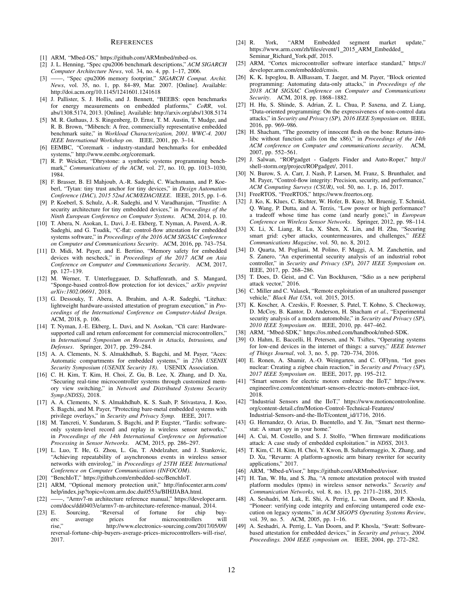#### **REFERENCES**

- <span id="page-11-0"></span>[1] ARM, "Mbed-OS," [https://github.com/ARMmbed/mbed-os.](https://github.com/ARMmbed/mbed-os)
- <span id="page-11-1"></span>[2] J. L. Henning, "Spec cpu2006 benchmark descriptions," *ACM SIGARCH Computer Architecture News*, vol. 34, no. 4, pp. 1–17, 2006.
- <span id="page-11-2"></span>[3] ——, "Spec cpu2006 memory footprint," *SIGARCH Comput. Archit. News*, vol. 35, no. 1, pp. 84–89, Mar. 2007. [Online]. Available: <http://doi.acm.org/10.1145/1241601.1241618>
- <span id="page-11-3"></span>[4] J. Pallister, S. J. Hollis, and J. Bennett, "BEEBS: open benchmarks for energy measurements on embedded platforms," *CoRR*, vol. abs/1308.5174, 2013. [Online]. Available:<http://arxiv.org/abs/1308.5174>
- <span id="page-11-47"></span>[5] M. R. Guthaus, J. S. Ringenberg, D. Ernst, T. M. Austin, T. Mudge, and R. B. Brown, "Mibench: A free, commercially representative embedded benchmark suite," in *Workload Characterization, 2001. WWC-4. 2001 IEEE International Workshop on*. IEEE, 2001, pp. 3–14.
- <span id="page-11-11"></span>[6] EEMBC, "Coremark - industry-standard benchmarks for embedded systems," [http://www.eembc.org/coremark.](http://www.eembc.org/coremark)
- <span id="page-11-4"></span>[7] R. P. Weicker, "Dhrystone: a synthetic systems programming benchmark," *Communications of the ACM*, vol. 27, no. 10, pp. 1013–1030, 1984.
- <span id="page-11-5"></span>[8] F. Brasser, B. El Mahjoub, A.-R. Sadeghi, C. Wachsmann, and P. Koeberl, "Tytan: tiny trust anchor for tiny devices," in *Design Automation Conference (DAC), 2015 52nd ACM/EDAC/IEEE*. IEEE, 2015, pp. 1–6.
- <span id="page-11-6"></span>[9] P. Koeberl, S. Schulz, A.-R. Sadeghi, and V. Varadharajan, "Trustlite: A security architecture for tiny embedded devices," in *Proceedings of the Ninth European Conference on Computer Systems*. ACM, 2014, p. 10.
- <span id="page-11-7"></span>[10] T. Abera, N. Asokan, L. Davi, J.-E. Ekberg, T. Nyman, A. Paverd, A.-R. Sadeghi, and G. Tsudik, "C-flat: control-flow attestation for embedded systems software," in *Proceedings of the 2016 ACM SIGSAC Conference on Computer and Communications Security*. ACM, 2016, pp. 743–754.
- <span id="page-11-8"></span>[11] D. Midi, M. Payer, and E. Bertino, "Memory safety for embedded devices with nescheck," in *Proceedings of the 2017 ACM on Asia Conference on Computer and Communications Security*. ACM, 2017, pp. 127–139.
- <span id="page-11-9"></span>[12] M. Werner, T. Unterluggauer, D. Schaffenrath, and S. Mangard, "Sponge-based control-flow protection for iot devices," *arXiv preprint arXiv:1802.06691*, 2018.
- <span id="page-11-10"></span>[13] G. Dessouky, T. Abera, A. Ibrahim, and A.-R. Sadeghi, "Litehax: lightweight hardware-assisted attestation of program execution," in *Proceedings of the International Conference on Computer-Aided Design*. ACM, 2018, p. 106.
- <span id="page-11-12"></span>[14] T. Nyman, J.-E. Ekberg, L. Davi, and N. Asokan, "Cfi care: Hardwaresupported call and return enforcement for commercial microcontrollers," in *International Symposium on Research in Attacks, Intrusions, and Defenses*. Springer, 2017, pp. 259–284.
- <span id="page-11-13"></span>[15] A. A. Clements, N. S. Almakhdhub, S. Bagchi, and M. Payer, "Aces: Automatic compartments for embedded systems," in *27th USENIX Security Symposium (USENIX Security 18)*. USENIX Association.
- <span id="page-11-14"></span>[16] C. H. Kim, T. Kim, H. Choi, Z. Gu, B. Lee, X. Zhang, and D. Xu, "Securing real-time microcontroller systems through customized memory view switching," in *Network and Distributed Systems Security Symp.(NDSS)*, 2018.
- <span id="page-11-15"></span>[17] A. A. Clements, N. S. Almakhdhub, K. S. Saab, P. Srivastava, J. Koo, S. Bagchi, and M. Payer, "Protecting bare-metal embedded systems with privilege overlays," in *Security and Privacy Symp.* IEEE, 2017.
- <span id="page-11-16"></span>[18] M. Tancreti, V. Sundaram, S. Bagchi, and P. Eugster, "Tardis: softwareonly system-level record and replay in wireless sensor networks," in *Proceedings of the 14th International Conference on Information Processing in Sensor Networks*. ACM, 2015, pp. 286–297.
- <span id="page-11-17"></span>[19] L. Luo, T. He, G. Zhou, L. Gu, T. Abdelzaher, and J. Stankovic, "Achieving repeatability of asynchronous events in wireless sensor networks with envirolog," in *Proceedings of 25TH IEEE International Conference on Computer Communications (INFOCOM)*.
- <span id="page-11-18"></span>[20] "BenchIoT," [https://github.com/embedded-sec/BenchIoT.](https://github.com/embedded-sec/BenchIoT)
- <span id="page-11-19"></span>[21] ARM, "Optional memory protection unit," [http://infocenter.arm.com/](http://infocenter.arm.com/help/index.jsp?topic=/com.arm.doc.dui0553a/BIHJJABA.html) [help/index.jsp?topic=/com.arm.doc.dui0553a/BIHJJABA.html.](http://infocenter.arm.com/help/index.jsp?topic=/com.arm.doc.dui0553a/BIHJJABA.html)
- <span id="page-11-20"></span>[22] -, "Armv7-m architecture reference manual," [https://developer.arm.](https://developer.arm.com/docs/ddi0403/e/armv7-m-architecture-reference-manual) [com/docs/ddi0403/e/armv7-m-architecture-reference-manual,](https://developer.arm.com/docs/ddi0403/e/armv7-m-architecture-reference-manual) 2014.
- <span id="page-11-21"></span>[23] E. Sourcing, "Reversal of fortune for chip buyers: average prices for microcontrollers<br>rise," http://www.electronics-sourcing.com/20 http://www.electronics-sourcing.com/2017/05/09/ [reversal-fortune-chip-buyers-average-prices-microcontrollers-will-rise/,](http://www.electronics-sourcing.com/2017/05/09/reversal-fortune-chip-buyers-average-prices-microcontrollers-will-rise/) 2017.
- <span id="page-11-22"></span>[24] R. York, "ARM Embedded segment market update," [https://www.arm.com/zh/files/event/1](https://www.arm.com/zh/files/event/1_2015_ARM_Embedded_Seminar_Richard_York.pdf) 2015 ARM Embedded Seminar Richard [York.pdf,](https://www.arm.com/zh/files/event/1_2015_ARM_Embedded_Seminar_Richard_York.pdf) 2015.
- <span id="page-11-23"></span>[25] ARM, "Cortex microcontroller software interface standard," [https://](https://developer.arm.com/embedded/cmsis) [developer.arm.com/embedded/cmsis.](https://developer.arm.com/embedded/cmsis)
- <span id="page-11-24"></span>[26] K. K. Ispoglou, B. AlBassam, T. Jaeger, and M. Payer, "Block oriented programming: Automating data-only attacks," in *Proceedings of the 2018 ACM SIGSAC Conference on Computer and Communications Security*. ACM, 2018, pp. 1868–1882.
- <span id="page-11-25"></span>[27] H. Hu, S. Shinde, S. Adrian, Z. L. Chua, P. Saxena, and Z. Liang, "Data-oriented programming: On the expressiveness of non-control data attacks," in *Security and Privacy (SP), 2016 IEEE Symposium on*. IEEE, 2016, pp. 969–986.
- <span id="page-11-26"></span>[28] H. Shacham, "The geometry of innocent flesh on the bone: Return-intolibc without function calls (on the x86)," in *Proceedings of the 14th ACM conference on Computer and communications security*. ACM, 2007, pp. 552–561.
- <span id="page-11-27"></span>[29] J. Salwan, "ROPgadget - Gadgets Finder and Auto-Roper," [http://](http://shell-storm.org/project/ROPgadget/) [shell-storm.org/project/ROPgadget/,](http://shell-storm.org/project/ROPgadget/) 2011.
- <span id="page-11-28"></span>[30] N. Burow, S. A. Carr, J. Nash, P. Larsen, M. Franz, S. Brunthaler, and M. Payer, "Control-flow integrity: Precision, security, and performance," *ACM Computing Surveys (CSUR)*, vol. 50, no. 1, p. 16, 2017.
- <span id="page-11-29"></span>[31] FreeRTOS, "FreeRTOS," [https://www.freertos.org.](https://www.freertos.org)
- <span id="page-11-30"></span>[32] J. Ko, K. Klues, C. Richter, W. Hofer, B. Kusy, M. Bruenig, T. Schmid, Q. Wang, P. Dutta, and A. Terzis, "Low power or high performance? a tradeoff whose time has come (and nearly gone)," in *European Conference on Wireless Sensor Networks*. Springer, 2012, pp. 98–114.
- <span id="page-11-31"></span>[33] X. Li, X. Liang, R. Lu, X. Shen, X. Lin, and H. Zhu, "Securing smart grid: cyber attacks, countermeasures, and challenges," *IEEE Communications Magazine*, vol. 50, no. 8, 2012.
- <span id="page-11-32"></span>[34] D. Quarta, M. Pogliani, M. Polino, F. Maggi, A. M. Zanchettin, and S. Zanero, "An experimental security analysis of an industrial robot controller," in *Security and Privacy (SP), 2017 IEEE Symposium on*. IEEE, 2017, pp. 268–286.
- <span id="page-11-33"></span>[35] T. Does, D. Geist, and C. Van Bockhaven, "Sdio as a new peripheral attack vector," 2016.
- <span id="page-11-34"></span>[36] C. Miller and C. Valasek, "Remote exploitation of an unaltered passenger vehicle," *Black Hat USA*, vol. 2015, 2015.
- <span id="page-11-35"></span>[37] K. Koscher, A. Czeskis, F. Roesner, S. Patel, T. Kohno, S. Checkoway, D. McCoy, B. Kantor, D. Anderson, H. Shacham *et al.*, "Experimental security analysis of a modern automobile," in *Security and Privacy (SP), 2010 IEEE Symposium on*. IEEE, 2010, pp. 447–462.
- <span id="page-11-36"></span>[38] ARM, "Mbed-SDK," [https://os.mbed.com/handbook/mbed-SDK.](https://os.mbed.com/handbook/mbed-SDK)
- <span id="page-11-37"></span>[39] O. Hahm, E. Baccelli, H. Petersen, and N. Tsiftes, "Operating systems for low-end devices in the internet of things: a survey," *IEEE Internet of Things Journal*, vol. 3, no. 5, pp. 720–734, 2016.
- <span id="page-11-38"></span>[40] E. Ronen, A. Shamir, A.-O. Weingarten, and C. OFlynn, "Iot goes nuclear: Creating a zigbee chain reaction," in *Security and Privacy (SP), 2017 IEEE Symposium on*. IEEE, 2017, pp. 195–212.
- <span id="page-11-39"></span>[41] "Smart sensors for electric motors embrace the IIoT," [https://www.](https://www.engineerlive.com/content/smart-sensors-electric-motors-embrace-iiot) [engineerlive.com/content/smart-sensors-electric-motors-embrace-iiot,](https://www.engineerlive.com/content/smart-sensors-electric-motors-embrace-iiot) 2018.
- <span id="page-11-40"></span>[42] "Industrial Sensors and the IIoT," [https://www.motioncontrolonline.](https://www.motioncontrolonline.org/content-detail.cfm/Motion-Control-Technical-Features/Industrial-Sensors-and-the-IIoT/content_id/1716) [org/content-detail.cfm/Motion-Control-Technical-Features/](https://www.motioncontrolonline.org/content-detail.cfm/Motion-Control-Technical-Features/Industrial-Sensors-and-the-IIoT/content_id/1716) [Industrial-Sensors-and-the-IIoT/content](https://www.motioncontrolonline.org/content-detail.cfm/Motion-Control-Technical-Features/Industrial-Sensors-and-the-IIoT/content_id/1716) id/1716, 2016.
- <span id="page-11-41"></span>[43] G. Hernandez, O. Arias, D. Buentello, and Y. Jin, "Smart nest thermostat: A smart spy in your home."
- <span id="page-11-42"></span>[44] A. Cui, M. Costello, and S. J. Stolfo, "When firmware modifications attack: A case study of embedded exploitation." in *NDSS*, 2013.
- <span id="page-11-43"></span>[45] T. Kim, C. H. Kim, H. Choi, Y. Kwon, B. Saltaformaggio, X. Zhang, and D. Xu, "Revarm: A platform-agnostic arm binary rewriter for security applications," 2017.
- <span id="page-11-44"></span>[46] ARM, "Mbed-uVisor," [https://github.com/ARMmbed/uvisor.](https://github.com/ARMmbed/uvisor)
- <span id="page-11-45"></span>[47] H. Tan, W. Hu, and S. Jha, "A remote attestation protocol with trusted platform modules (tpms) in wireless sensor networks." *Security and Communication Networks*, vol. 8, no. 13, pp. 2171–2188, 2015.
- [48] A. Seshadri, M. Luk, E. Shi, A. Perrig, L. van Doorn, and P. Khosla, "Pioneer: verifying code integrity and enforcing untampered code execution on legacy systems," in *ACM SIGOPS Operating Systems Review*, vol. 39, no. 5. ACM, 2005, pp. 1–16.
- <span id="page-11-46"></span>[49] A. Seshadri, A. Perrig, L. Van Doorn, and P. Khosla, "Swatt: Softwarebased attestation for embedded devices," in *Security and privacy, 2004. Proceedings. 2004 IEEE symposium on*. IEEE, 2004, pp. 272–282.